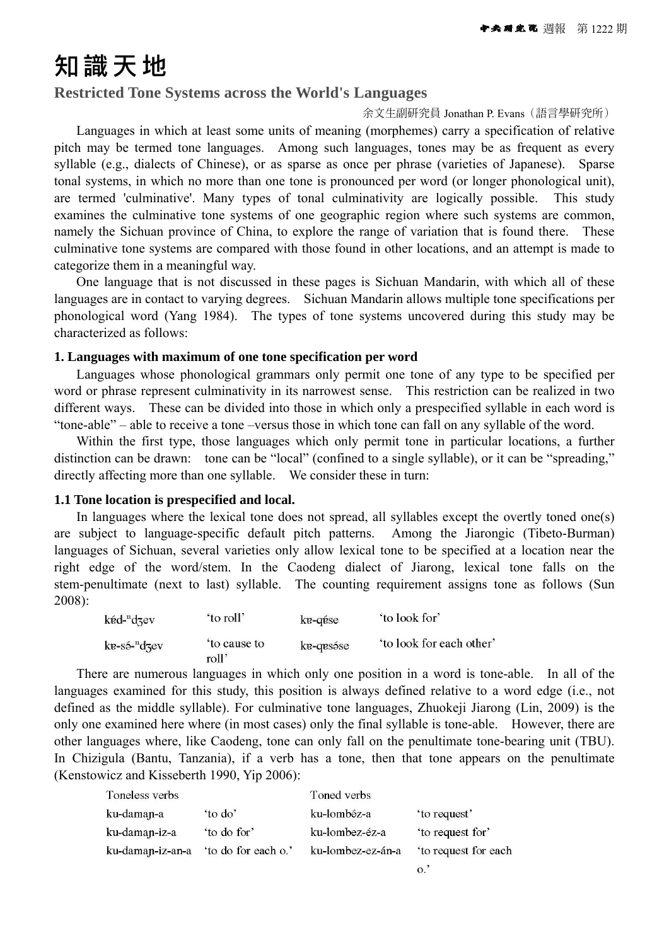# 知識天地

## **Restricted Tone Systems across the World's Languages**

#### 余文生副研究員 Jonathan P. Evans(語言學研究所)

Languages in which at least some units of meaning (morphemes) carry a specification of relative pitch may be termed tone languages. Among such languages, tones may be as frequent as every syllable (e.g., dialects of Chinese), or as sparse as once per phrase (varieties of Japanese). Sparse tonal systems, in which no more than one tone is pronounced per word (or longer phonological unit), are termed 'culminative'. Many types of tonal culminativity are logically possible. This study examines the culminative tone systems of one geographic region where such systems are common, namely the Sichuan province of China, to explore the range of variation that is found there. These culminative tone systems are compared with those found in other locations, and an attempt is made to categorize them in a meaningful way.

One language that is not discussed in these pages is Sichuan Mandarin, with which all of these languages are in contact to varying degrees. Sichuan Mandarin allows multiple tone specifications per phonological word (Yang 1984). The types of tone systems uncovered during this study may be characterized as follows:

#### **1. Languages with maximum of one tone specification per word**

Languages whose phonological grammars only permit one tone of any type to be specified per word or phrase represent culminativity in its narrowest sense. This restriction can be realized in two different ways. These can be divided into those in which only a prespecified syllable in each word is "tone-able" – able to receive a tone –versus those in which tone can fall on any syllable of the word.

Within the first type, those languages which only permit tone in particular locations, a further distinction can be drawn: tone can be "local" (confined to a single syllable), or it can be "spreading," directly affecting more than one syllable. We consider these in turn:

### **1.1 Tone location is prespecified and local.**

In languages where the lexical tone does not spread, all syllables except the overtly toned one(s) are subject to language-specific default pitch patterns. Among the Jiarongic (Tibeto-Burman) languages of Sichuan, several varieties only allow lexical tone to be specified at a location near the right edge of the word/stem. In the Caodeng dialect of Jiarong, lexical tone falls on the stem-penultimate (next to last) syllable. The counting requirement assigns tone as follows (Sun 2008):

| kéd- <sup>n</sup> dzev   | 'to roll'            | ke-qése   | 'to look for'            |
|--------------------------|----------------------|-----------|--------------------------|
| $k_{\text{P}}$ -sé-"dzev | to cause to<br>roll' | ke-qesése | 'to look for each other' |

There are numerous languages in which only one position in a word is tone-able. In all of the languages examined for this study, this position is always defined relative to a word edge (i.e., not defined as the middle syllable). For culminative tone languages, Zhuokeji Jiarong (Lin, 2009) is the only one examined here where (in most cases) only the final syllable is tone-able. However, there are other languages where, like Caodeng, tone can only fall on the penultimate tone-bearing unit (TBU). In Chizigula (Bantu, Tanzania), if a verb has a tone, then that tone appears on the penultimate (Kenstowicz and Kisseberth 1990, Yip 2006):

| Toneless verbs   |                     | Toned verbs       |                      |
|------------------|---------------------|-------------------|----------------------|
| ku-daman-a       | 'to do'             | ku-lombéz-a       | 'to request'         |
| ku-daman-iz-a    | 'to do for'         | ku-lombez-éz-a    | 'to request for'     |
| ku-daman-iz-an-a | 'to do for each o.' | ku-lombez-ez-án-a | 'to request for each |
|                  |                     |                   |                      |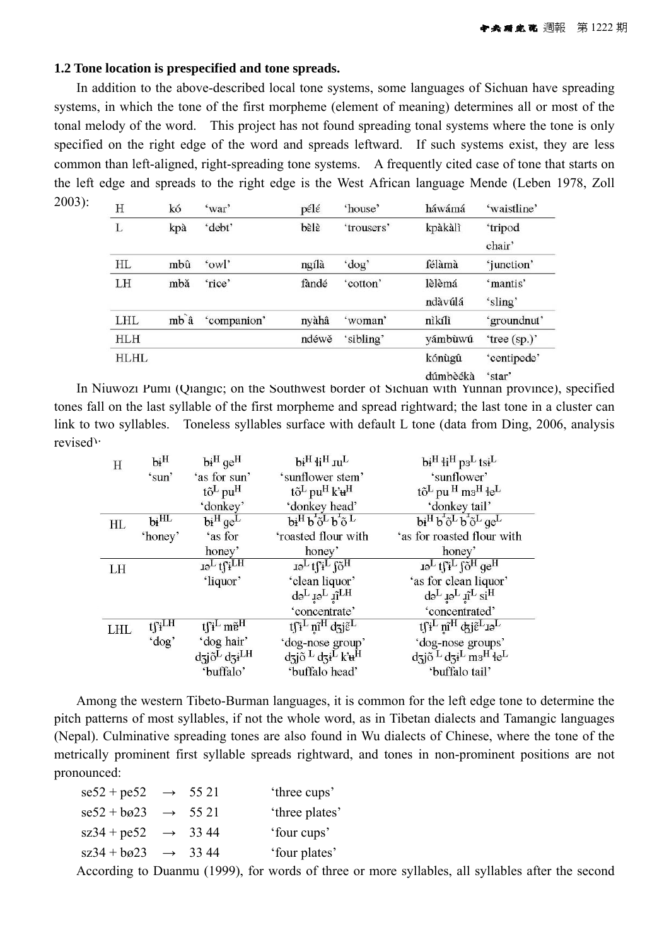### **1.2 Tone location is prespecified and tone spreads.**

In addition to the above-described local tone systems, some languages of Sichuan have spreading systems, in which the tone of the first morpheme (element of meaning) determines all or most of the tonal melody of the word. This project has not found spreading tonal systems where the tone is only specified on the right edge of the word and spreads leftward. If such systems exist, they are less common than left-aligned, right-spreading tone systems. A frequently cited case of tone that starts on the left edge and spreads to the right edge is the West African language Mende (Leben 1978, Zoll 2003):

| H          | kó              | 'war'       | pélé  | 'house'    | háwámá                                                                                                                                                                                                                                                                                                                             | 'waistline'  |
|------------|-----------------|-------------|-------|------------|------------------------------------------------------------------------------------------------------------------------------------------------------------------------------------------------------------------------------------------------------------------------------------------------------------------------------------|--------------|
| L          | kpà             | 'debt'      | bèlè  | 'trousers' | kpàkàlì                                                                                                                                                                                                                                                                                                                            | 'tripod      |
|            |                 |             |       |            |                                                                                                                                                                                                                                                                                                                                    | chair'       |
| HL         | mbû             | 'owl'       | ngílà | 'dog'      | félàmà                                                                                                                                                                                                                                                                                                                             | 'junction'   |
| LH         | mbă             | 'rice'      | fàndé | 'cotton'   | lèlèmá                                                                                                                                                                                                                                                                                                                             | 'mantis'     |
|            |                 |             |       |            | ndàvúlá                                                                                                                                                                                                                                                                                                                            | 'sling'      |
| LHL        | mb <sup>a</sup> | 'companion' | nyàhâ | 'woman'    | nìkílì                                                                                                                                                                                                                                                                                                                             | 'groundnut'  |
| <b>HLH</b> |                 |             | ndéwě | 'sibling'  | yámbùwú                                                                                                                                                                                                                                                                                                                            | 'tree (sp.)' |
| HLHL       |                 |             |       |            | kónùgû                                                                                                                                                                                                                                                                                                                             | 'centipede'  |
|            |                 |             |       |            | $\mathbf{1}$ $\mathbf{2}$ $\mathbf{3}$ $\mathbf{4}$ $\mathbf{5}$ $\mathbf{6}$ $\mathbf{7}$ $\mathbf{8}$ $\mathbf{8}$ $\mathbf{9}$ $\mathbf{1}$ $\mathbf{1}$ $\mathbf{1}$ $\mathbf{1}$ $\mathbf{1}$ $\mathbf{1}$ $\mathbf{1}$ $\mathbf{1}$ $\mathbf{1}$ $\mathbf{1}$ $\mathbf{1}$ $\mathbf{1}$ $\mathbf{1}$ $\mathbf{1}$ $\mathbf{$ |              |

dúmbèékà 'star'

In Niuwozi Pumi (Qiangic; on the Southwest border of Sichuan with Yunnan province), specified tones fall on the last syllable of the first morpheme and spread rightward; the last tone in a cluster can link to two syllables. Toneless syllables surface with default L tone (data from Ding, 2006, analysis revised):

| H   | $bi^H$                                     | $bi^H$ qe <sup>H</sup>                             | $\mathbf{b}$ i <sup>H</sup> ii <sup>H</sup> $\mathbf{n}$ <sup>L</sup>                         | $biH 1iH 1iL$                                                              |
|-----|--------------------------------------------|----------------------------------------------------|-----------------------------------------------------------------------------------------------|----------------------------------------------------------------------------|
|     | 'sun'                                      | 'as for sun'                                       | 'sunflower stem'                                                                              | 'sunflower'                                                                |
|     |                                            | $t\tilde{\mathrm{o}}^{\mathrm{L}}$ pu <sup>H</sup> | $t\tilde{o}^L$ pu <sup>H</sup> $k\ddot{u}^H$                                                  | $t\tilde{o}^L$ pu $^H$ m <sub>3</sub> H $^4e^L$                            |
|     |                                            | 'donkey'                                           | 'donkey head'                                                                                 | 'donkey tail'                                                              |
| HL  | $b$ i $\overline{\mathrm{HL}}$             | $\overline{bi}^H$ ge <sup>L</sup>                  | $b_i$ <sup>H</sup> $b_i$ <sup>5</sup> $\tilde{b}$ $b_i$ <sup>5</sup> $\tilde{c}$ <sup>L</sup> | $biH bT \tilde{o}^L bT \tilde{o}^L$ qe <sup>L</sup>                        |
|     | 'honey'                                    | 'as for                                            | 'roasted flour with                                                                           | 'as for roasted flour with                                                 |
|     |                                            | honey'                                             | honey'                                                                                        | honey'                                                                     |
| LH  |                                            | $I\oplus^L$ t $\int_i^I$                           | $I\oplus^L t\uparrow i^L \uparrow \tilde{0}^H$                                                | $I\oplus^L$ t $\int_1^L \int_0^H \mathrm{d} \mathrm{e}^H$                  |
|     |                                            | 'liquor'                                           | 'clean liquor'                                                                                | 'as for clean liquor'                                                      |
|     |                                            |                                                    | $d\varphi_L$ is $\tilde{\mathfrak{u}}_{\Gamma}$                                               | $d e^L$ $I e^L$ $I I^L$ $si^H$                                             |
|     |                                            |                                                    | 'concentrate'                                                                                 | 'concentrated'                                                             |
| LHL | $t \int_{i}^{t} \overline{L} \overline{H}$ | $t\mathfrak{f}^{\perp}$ m $\tilde{e}^{\mathrm{H}}$ | $\overline{t\beta^L n} \hat{i}^H d\overline{3} \hat{j} \tilde{\epsilon}^L$                    | tfi <sup>L</sup> m <sup>H</sup> djeLio <sup>L</sup>                        |
|     | 'dog'                                      | 'dog hair'                                         | 'dog-nose group'                                                                              | 'dog-nose groups'                                                          |
|     |                                            | $d\vec{a}$ jõ $^L d\vec{a}$ i $^{LH}$              | $d$ zjõ <sup>L</sup> $d$ zi <sup>L</sup> k' $\mathbf{H}^{\text{H}}$                           | $d$ zjõ <sup>L</sup> $d$ zi <sup>L</sup> $m$ <sup>3H</sup> łe <sup>L</sup> |
|     |                                            | 'buffalo'                                          | 'buffalo head'                                                                                | 'buffalo tail'                                                             |

Among the western Tibeto-Burman languages, it is common for the left edge tone to determine the pitch patterns of most syllables, if not the whole word, as in Tibetan dialects and Tamangic languages (Nepal). Culminative spreading tones are also found in Wu dialects of Chinese, where the tone of the metrically prominent first syllable spreads rightward, and tones in non-prominent positions are not pronounced:

| $se52 + pe52 \rightarrow 5521$       |  | 'three cups'                                                                                   |  |
|--------------------------------------|--|------------------------------------------------------------------------------------------------|--|
| $se52 + b\omega 23 \rightarrow 5521$ |  | 'three plates'                                                                                 |  |
| $sz34 + pe52 \rightarrow 3344$       |  | 'four cups'                                                                                    |  |
| $sz34 + b\omega 23 \rightarrow 3344$ |  | 'four plates'                                                                                  |  |
|                                      |  | According to Duanmu (1999) for words of three or more syllables all syllables after the second |  |

According to Duanmu (1999), for words of three or more syllables, all syllables after the second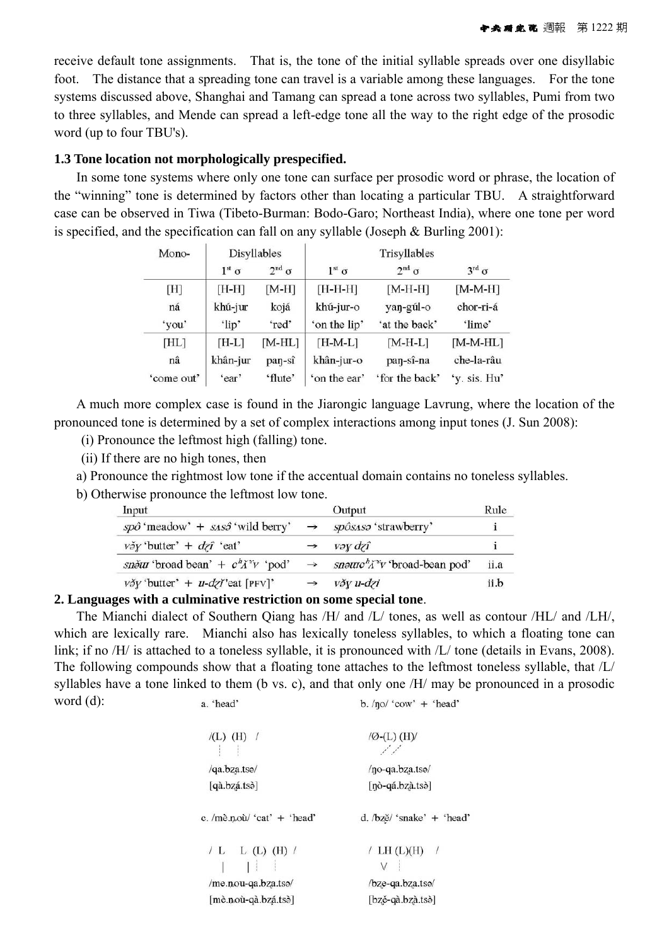receive default tone assignments. That is, the tone of the initial syllable spreads over one disyllabic foot. The distance that a spreading tone can travel is a variable among these languages. For the tone systems discussed above, Shanghai and Tamang can spread a tone across two syllables, Pumi from two to three syllables, and Mende can spread a left-edge tone all the way to the right edge of the prosodic word (up to four TBU's).

### **1.3 Tone location not morphologically prespecified.**

In some tone systems where only one tone can surface per prosodic word or phrase, the location of the "winning" tone is determined by factors other than locating a particular TBU. A straightforward case can be observed in Tiwa (Tibeto-Burman: Bodo-Garo; Northeast India), where one tone per word is specified, and the specification can fall on any syllable (Joseph & Burling 2001):

| Mono-      | Disyllables         |                        | Trisyllables |                       |                          |  |
|------------|---------------------|------------------------|--------------|-----------------------|--------------------------|--|
|            | $1^{\rm st} \sigma$ | $2^{\text{nd}} \sigma$ | $1st \sigma$ | $2^{\rm nd}$ $\sigma$ | $3^{\text{rd}}$ $\sigma$ |  |
| [H]        | $[H-H]$             | $[M-H]$                | [H-H-H]      | $[M-H-H]$             | $[M-M-H]$                |  |
| ná         | khú-jur             | kojá                   | khú-jur-o    | yan-gúl-o             | chor-ri-á                |  |
| 'you'      | 'lip'               | 'red'                  | 'on the lip' | 'at the back'         | 'lime'                   |  |
| [HL]       | $[H-L]$             | $[M-HL]$               | $[H-M-L]$    | $[M-H-L]$             | $[M-M-HL]$               |  |
| nâ         | khân-jur            | pan-sî                 | khân-jur-o   | pan-sî-na             | che-la-râu               |  |
| 'come out' | 'ear'               | 'flute'                | 'on the ear' | 'for the back'        | 'v. sis. Hu'             |  |

A much more complex case is found in the Jiarongic language Lavrung, where the location of the pronounced tone is determined by a set of complex interactions among input tones (J. Sun 2008):

(i) Pronounce the leftmost high (falling) tone.

(ii) If there are no high tones, then

a) Pronounce the rightmost low tone if the accentual domain contains no toneless syllables.

b) Otherwise pronounce the leftmost low tone.

| Input                                                 |               | Output                                   | Rule |
|-------------------------------------------------------|---------------|------------------------------------------|------|
| $sp\hat{o}$ 'meadow' + $ss\hat{o}$ 'wild berry'       | $\rightarrow$ | spôsasa 'strawberry'                     |      |
| $v \delta y$ 'butter' + $d z \hat{\imath}$ 'eat'      |               | vəy dzî                                  |      |
| <i>sněur</i> 'broad bean' + $c^h \tilde{A}^v v$ 'pod' | $\rightarrow$ | snourc <sup>h</sup> i'v 'broad-bean pod' | ii.a |
| $v \delta y$ 'butter' + u-dzi'eat [PFV]'              |               | věy u-dzi                                | ii.b |

# **2. Languages with a culminative restriction on some special tone**.

The Mianchi dialect of Southern Qiang has /H/ and /L/ tones, as well as contour /HL/ and /LH/, which are lexically rare. Mianchi also has lexically toneless syllables, to which a floating tone can link; if no /H/ is attached to a toneless syllable, it is pronounced with /L/ tone (details in Evans, 2008). The following compounds show that a floating tone attaches to the leftmost toneless syllable, that /L/ syllables have a tone linked to them (b vs. c), and that only one /H/ may be pronounced in a prosodic word (d): a 'head' b.  $/no/$  'cow' + 'head'

| $/(L)$ (H) /                                                                    | $\mathcal{O}$ -(L) (H) $\mathcal{O}$<br>من من                |  |  |
|---------------------------------------------------------------------------------|--------------------------------------------------------------|--|--|
| /qa.bza.tsə/                                                                    | /no-qa.bza.tso/                                              |  |  |
| [qà.bzá.tsò]                                                                    | $[n\delta - q\acute{a} \cdot bz\grave{a} \cdot ts\grave{c}]$ |  |  |
| c. /me.nou/ 'cat' $+$ 'head'                                                    | d. /bzě/ 'snake' + 'head'                                    |  |  |
| / L L (L) (H) $/$                                                               | / LH $(L)(H)$ /                                              |  |  |
| /me.nou-qa.bza.tso/                                                             | /bze-qa.bza.tso/                                             |  |  |
| $[m\tilde{e} \cdot n\tilde{o}u-q\tilde{a} \cdot bz\tilde{a} \cdot ts\tilde{o}]$ | [bzě-qà.bzà.tsò]                                             |  |  |
|                                                                                 |                                                              |  |  |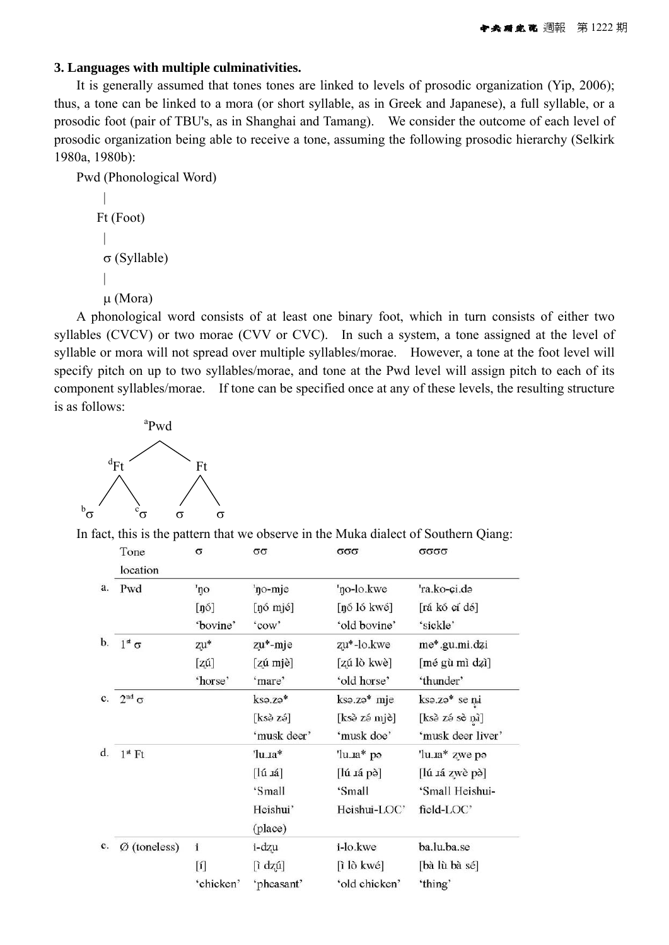## **3. Languages with multiple culminativities.**

It is generally assumed that tones tones are linked to levels of prosodic organization (Yip, 2006); thus, a tone can be linked to a mora (or short syllable, as in Greek and Japanese), a full syllable, or a prosodic foot (pair of TBU's, as in Shanghai and Tamang). We consider the outcome of each level of prosodic organization being able to receive a tone, assuming the following prosodic hierarchy (Selkirk 1980a, 1980b):

```
Pwd (Phonological Word) 
| 
    Ft (Foot) 
     | 
     σ (Syllable) 
     | 
     μ (Mora)
```
A phonological word consists of at least one binary foot, which in turn consists of either two syllables (CVCV) or two morae (CVV or CVC). In such a system, a tone assigned at the level of syllable or mora will not spread over multiple syllables/morae. However, a tone at the foot level will specify pitch on up to two syllables/morae, and tone at the Pwd level will assign pitch to each of its component syllables/morae. If tone can be specified once at any of these levels, the resulting structure is as follows:



In fact, this is the pattern that we observe in the Muka dialect of Southern Qiang:

| Tone                     | $\sigma$       | σσ                      | σσσ                       | σσσσ              |
|--------------------------|----------------|-------------------------|---------------------------|-------------------|
| location                 |                |                         |                           |                   |
| Pwd                      | 'no            | 'no-mje                 | 'no-lo.kwe                | 'ra.ko-ci.də      |
|                          | [n6]           | [ŋó mjé]                | [ŋó ló kwé]               | [rá kó cí dó]     |
|                          | 'bovine'       | 'cow'                   | 'old bovine'              | 'sickle'          |
| $1^{\rm st} \sigma$      | zu*            | zu*-mje                 | zu*-lo.kwe                | me*.gu.mi.dzi     |
|                          | $[z\acute{u}]$ | $[z$ ú mjè]             | [zú lò kwè]               | [mé gù mì dzì]    |
|                          | 'horse'        | 'mare'                  | 'old horse'               | 'thunder'         |
| $2^{\text{nd}}$ $\sigma$ |                | kso.zə*                 | kso.zo* mje               | kso.zo* se ni     |
|                          |                | $[ks\delta z\acute{o}]$ | [ksè zé mjè]              | [ksè zé sè nì]    |
|                          |                | 'musk deer'             | 'musk doe'                | 'musk deer liver' |
| $1st$ Ft                 |                | 'lu.1a*                 | $'$ lu. $a^*$ po          | 'lu.1a* zwe po    |
|                          |                | $[\![\text{Iú} \]$      | $[\mathrm{I}$ ú sá pè $]$ | [lú 1á zwè pè]    |
|                          |                | 'Small                  | 'Small                    | 'Small Heishui-   |
|                          |                | Heishui'                | Heishui-LOC'              | field-LOC'        |
|                          |                | (place)                 |                           |                   |
| $Ø$ (toneless)           | $\mathbf i$    | i-dzu                   | i-lo.kwe                  | ba.lu.ba.se       |
|                          | $[1]$          | [ì dzú]                 | $[i]$ lò kwé]             | [bà lù bà sé]     |
|                          | 'chicken'      | 'pheasant'              | 'old chicken'             | 'thing'           |